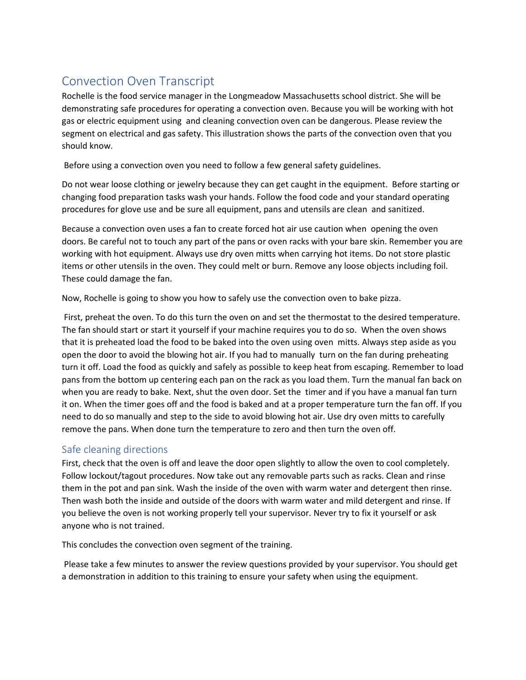## Convection Oven Transcript

Rochelle is the food service manager in the Longmeadow Massachusetts school district. She will be demonstrating safe procedures for operating a convection oven. Because you will be working with hot gas or electric equipment using and cleaning convection oven can be dangerous. Please review the segment on electrical and gas safety. This illustration shows the parts of the convection oven that you should know.

Before using a convection oven you need to follow a few general safety guidelines.

Do not wear loose clothing or jewelry because they can get caught in the equipment. Before starting or changing food preparation tasks wash your hands. Follow the food code and your standard operating procedures for glove use and be sure all equipment, pans and utensils are clean and sanitized.

Because a convection oven uses a fan to create forced hot air use caution when opening the oven doors. Be careful not to touch any part of the pans or oven racks with your bare skin. Remember you are working with hot equipment. Always use dry oven mitts when carrying hot items. Do not store plastic items or other utensils in the oven. They could melt or burn. Remove any loose objects including foil. These could damage the fan.

Now, Rochelle is going to show you how to safely use the convection oven to bake pizza.

First, preheat the oven. To do this turn the oven on and set the thermostat to the desired temperature. The fan should start or start it yourself if your machine requires you to do so. When the oven shows that it is preheated load the food to be baked into the oven using oven mitts. Always step aside as you open the door to avoid the blowing hot air. If you had to manually turn on the fan during preheating turn it off. Load the food as quickly and safely as possible to keep heat from escaping. Remember to load pans from the bottom up centering each pan on the rack as you load them. Turn the manual fan back on when you are ready to bake. Next, shut the oven door. Set the timer and if you have a manual fan turn it on. When the timer goes off and the food is baked and at a proper temperature turn the fan off. If you need to do so manually and step to the side to avoid blowing hot air. Use dry oven mitts to carefully remove the pans. When done turn the temperature to zero and then turn the oven off.

## Safe cleaning directions

First, check that the oven is off and leave the door open slightly to allow the oven to cool completely. Follow lockout/tagout procedures. Now take out any removable parts such as racks. Clean and rinse them in the pot and pan sink. Wash the inside of the oven with warm water and detergent then rinse. Then wash both the inside and outside of the doors with warm water and mild detergent and rinse. If you believe the oven is not working properly tell your supervisor. Never try to fix it yourself or ask anyone who is not trained.

This concludes the convection oven segment of the training.

Please take a few minutes to answer the review questions provided by your supervisor. You should get a demonstration in addition to this training to ensure your safety when using the equipment.